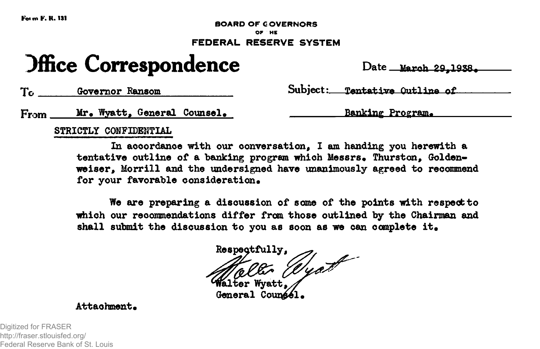**FottnF.K.131**

**BOARD OF GOVERNORS**

# **OF HC FEDERAL RESERVE SYSTEM**

# **Jffice Correspondence** Date March 29,1938.

**Governor Ransom Subject; Tentative Outline of**

**From Mr. Wyatt, General Counsel. The Connect County Banking Program.** 

# **STRICTLY CONFIDENTIAL**

**In accordance with our conversation, I am handing you herewith a** tentative outline of a banking program which Messrs. Thurston, Golden**weiser, Morrill and the undersigned have unanimously agreed to recommend** for your favorable consideration.

**We are preparing a discussion of some of the points with respect to which our recommendations differ from those outlined by the Chairman and** shall submit the discussion to you as soon as we can complete it.

Respectfully,<br>**Malter** Wyath

General Counse<sub>1</sub>.

Attachment.

Digitized for FRASER http://fraser.stlouisfed.org/ Federal Reserve Bank of St. Louis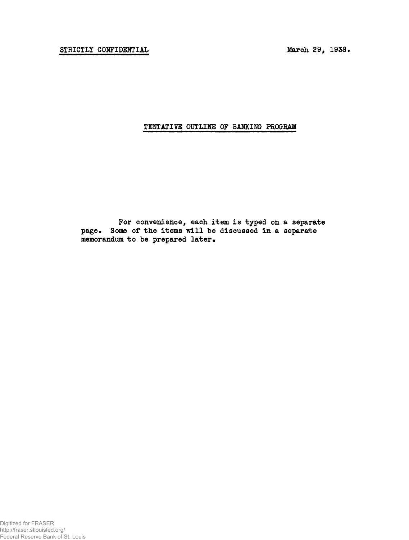# **TENTATIVE OUTLINE OF BAHKING PROGRAM**

**For convenience, each item is typed on a separate** page. Some of the items will be discussed in a separate memorandum to be prepared later.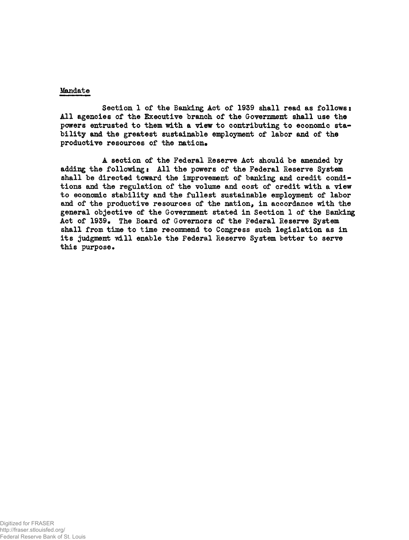#### **Mandate**

**Section 1 of the Banking Act of 1939 shall read as follows: All agencies of the Executive branch of the Government shall use the powers entrusted to them with a view to contributing to economic stability and the greatest sustainable employment of labor and of the** productive resources of the nation.

**A section of the Federal Reserve Act should be amended by adding the following! All the powers of the Federal Reserve System shall be directed toward the improvement of banking and credit conditions and the regulation of the volume and cost of credit with a view to economic stability and the fullest sustainable employment of labor and of the productive resources of the nation, in accordance with the general objective of the Government stated in Section 1 of the Banking Act of 1939. The Board of Governors of the Federal Reserve System shall from time to time recommend to Congress such legislation as in its judgment will enable the Federal Reserve System better to serve this purpose•**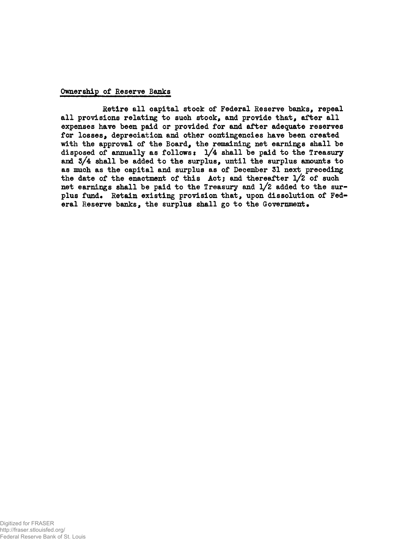#### **Ownership of Reserve Banks**

**Retire all capital stock of Federal Reserve banks, repeal all provisions relating to such stock, and provide that, after all expenses have been paid or provided for and after adequate reserves for losses, depreciation and other contingencies have been created with the approval of the Board, the remaining net earnings shall be disposed of annually as follows: l/4 shall be paid to the Treasury and S/4 shall be added to the surplus, until the surplus amounts to as much as the capital and surplus as of December 31 next preceding the date of the enactment of this Act; and thereafter l/2 of such net earnings shall be paid to the Treasury and l/2 added to the surplus fund^ Retain existing provision that, upon dissolution of Federal Reserve banks, the surplus shall go to the Government•**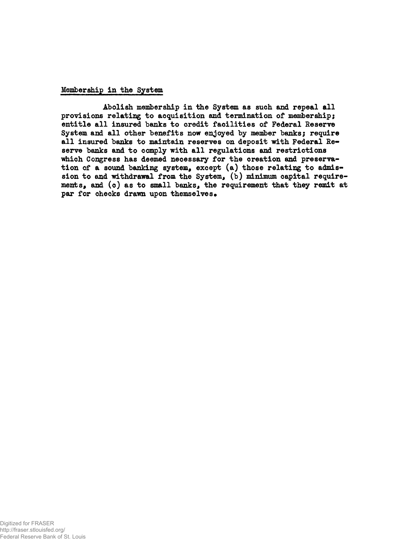#### **Membership in the System**

**Abolish membership in the System as such and repeal all provisions relating to acquisition and termination of membership; entitle all insured banks to credit facilities of Federal Reserve System and all other benefits now enjoyed by member banks; require all insured banks to maintain reserves on deposit with Federal Reserve banks and to comply with all regulations and restrictions which Congress has deemed necessary for the creation and preservation of a sound banking system, except (a) those relating to admission to and withdrawal from the System, (b) minimum capital requirements, and (c) as to small banks, the requirement that they remit at** par for checks drawn upon themselves.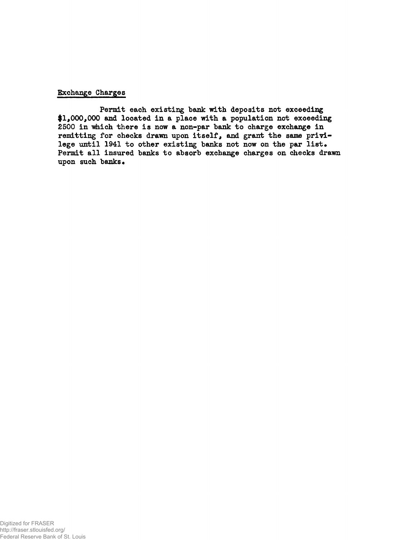#### **Exchange Charges**

**Permit each existing bank with deposits not exceeding #1,000,000 and located in a place with a population not exceeding 2500 in which there is now a non-par bank to charge exchange in remitting for checks drawn upon itself, and grant the same privi**lege until 1941 to other existing banks not now on the par list. **Permit all insured banks to absorb exchange charges on checks drawn upon such banks•**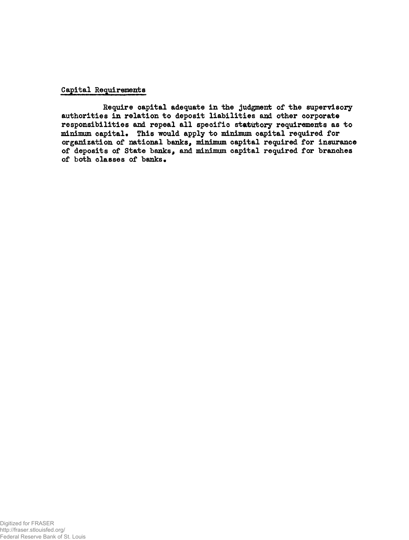# **Capital Requirements**

**Require capital adequate in the judgment of the supervisoryauthorities in relation to deposit liabilities and other corporate responsibilities and repeal all specific statutory requirements as to minimum capital\* This would apply to minimum capital required for organization of national banks, minimum capital required for insurance of deposits of State banks, and minimum capital required for branches** of both classes of banks.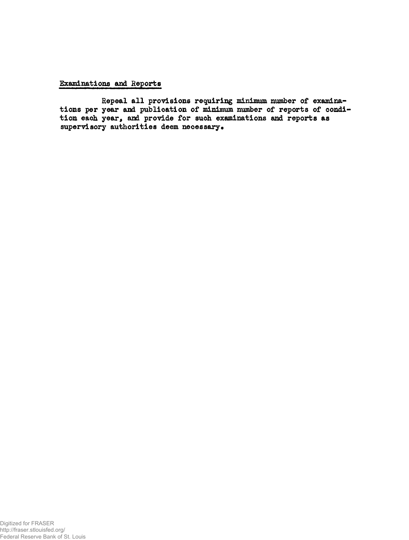# **Examinations and Reports**

**Repeal all provisions requiring minimum number of examinations per year and publication of minimum number of reports of condition each year, and provide for such examinations and reports as** supervisory authorities deem necessary.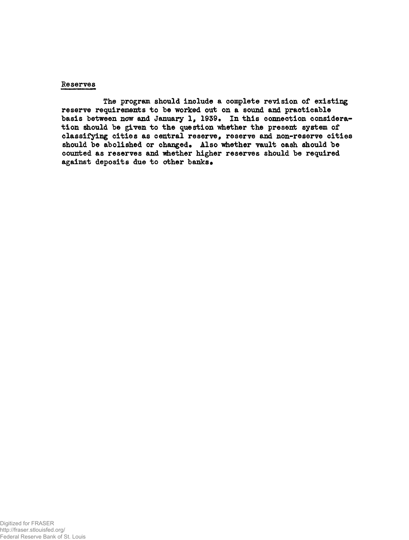#### **Reserves**

**The program should include a complete revision of existing reserve requirements to be worked out on a sound and practicable basis between now and January 1, 1939. In this connection consideration should be given to the question whether the present system of classifying cities as central reserve, reserve and non-reserve cities** should be abolished or changed. Also whether vault cash should be counted as reserves and whether higher reserves should be required **against deposits due to other banks•**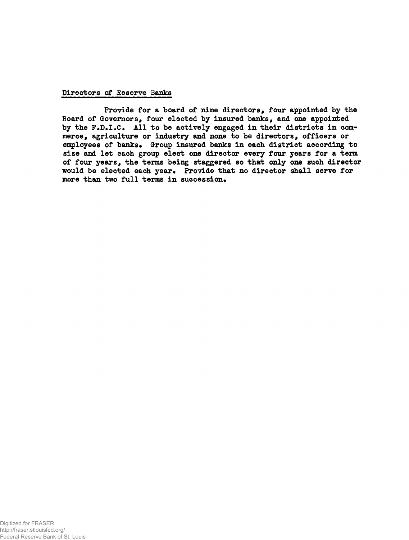#### **Directors of Reserve Banks**

**Provide for a board of nine directors, four appointed by the Board of Governors, four elected by insured banks, and one appointed** by the F.D.I.C. All to be actively engaged in their districts in com**merce, agriculture or industry and none to be directors, officers or** employees of banks. Group insured banks in each district according to size and let each group elect one director every four years for a term **of four years, the terms being staggered so that only one such director would be elected each year\* Provide that no director shall serve for** more than two full terms in succession.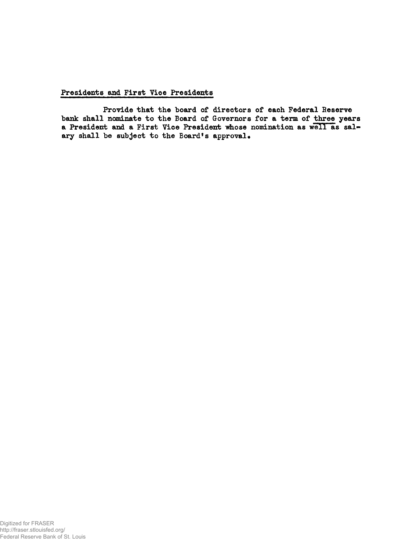# **Presidents and First Vice Presidents**

**Provide that the board of directors of each Federal Reserve bank shall nominate to the Board of Governors for a term of three years a President and a First Vice President "whose nomination as well as sal**ary shall be subject to the Board's approval.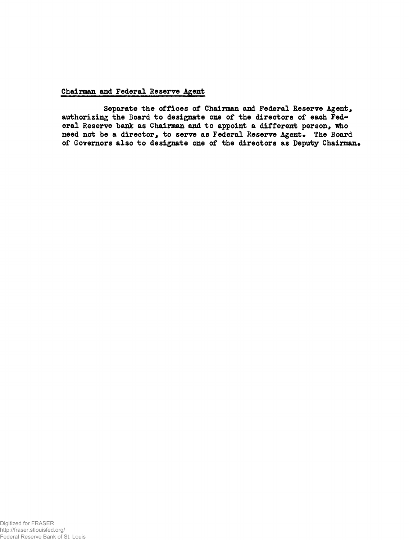#### **Chairman and Federal Reserve Agent**

**Separate the offices of Chairman and Federal Reserve Agent, authorizing the Board to designate one of the directors of each Federal Reserve bank as Chairman and to appoint a different person, who need not be a director, to serve as Federal Reserve Agent• The Board of Governors also to designate one of the directors as Deputy Chairman\***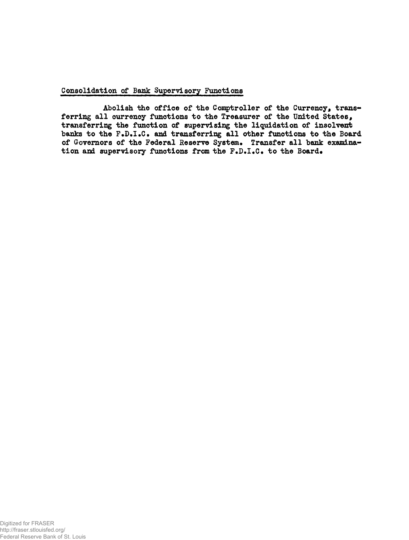#### **Consolidation of Bank Supervisory Functions**

**Abolish the office of the Comptroller of the Currency, transferring all currency functions to the Treasurer of the United States, transferring the function of supervising the liquidation of insolvent** banks to the F.D.I.C. and transferring all other functions to the Board of Governors of the Federal Reserve System. Transfer all bank examination and supervisory functions from the F.D.I.C. to the Board.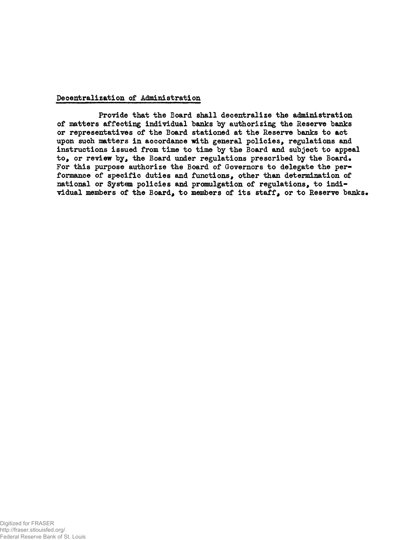#### **Decentralization of Administration**

**Provide that the Board shall decentralize the administration of matters affecting individual banks by authorizing the Reserve banks or representatives of the Board stationed at the Reserve banks to act upon such matters in accordance with general policies, regulations and instructions issued from time to time by the Board and subject to appeal** to, or review by, the Board under regulations prescribed by the Board. **For this purpose authorize the Board of Governors to delegate the performance of specific duties and functions, other than determination of national or System policies and promulgation of regulations, to individual members of the Board, to members of its staff# or to Reserve banksi**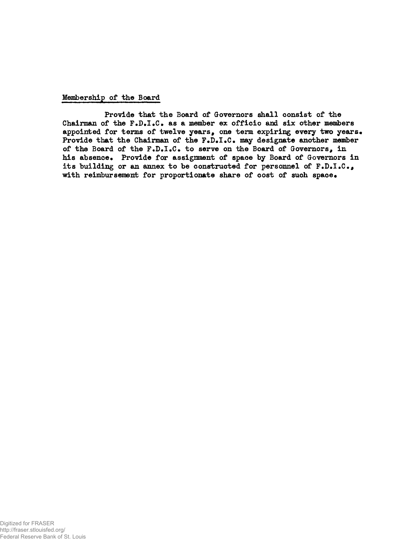#### **Membership of the Board**

**Provide that the Board of Governors shall consist of the Chairman of the F.D.I•C. as a member ex officio and six other members** appointed for terms of twelve years, one term expiring every two years. **Provide that the Chairman of the F.D.I.C. may designate another member of the Board of the F.D.I•€• to serve on the Board of Governors, in** his absence. Provide for assignment of space by Board of Governors in **its building or an annex to be constructed for personnel of F.D.I.C.,** with reimbursement for proportionate share of cost of such space.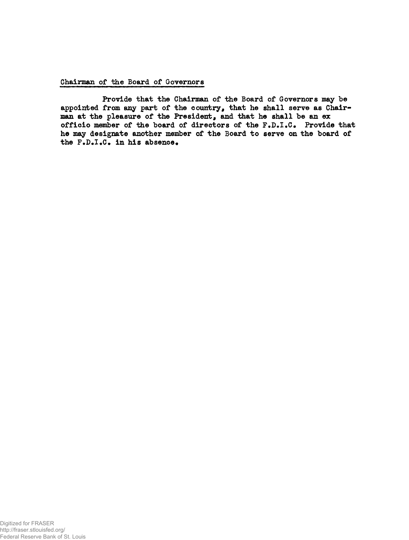# **Chairman of the Board of Governors**

**Provide that the Chairman of the Board of Governors may be appointed from any part of the country, that he shall serve as Chairman at the pleasure of the President, and that he shall be an ex officio member of the board of directors of the F.D.I.C\* Provide that he may designate another member of the Board to serve on the board of the F.D.I.C. in his absence.**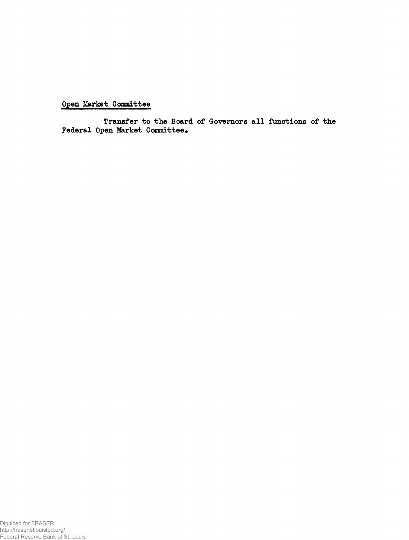**Open Market Committee**

**Transfer to the Board of Governors all functions of the Federal Open Market Committee•**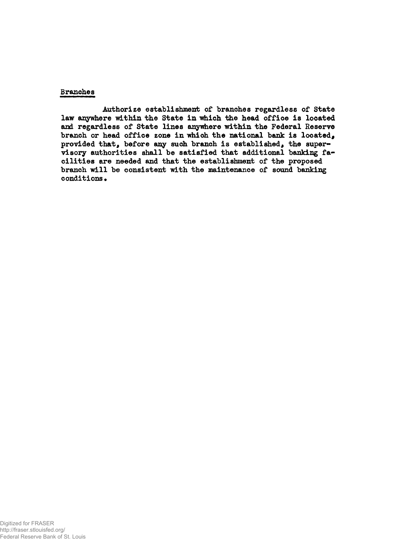#### **Branches**

**Authorize establishment of branches regardless of State law anywhere within the State in which the head office is located and regardless of State lines anywhere within the Federal Reserve branch or head office zone in which the national bank is located, provided that, before any such branch is established, the supervisory authorities shall be satisfied that additional banking facilities are needed and that the establishment of the proposed branch will be consistent with the maintenance of sound banking conditions•**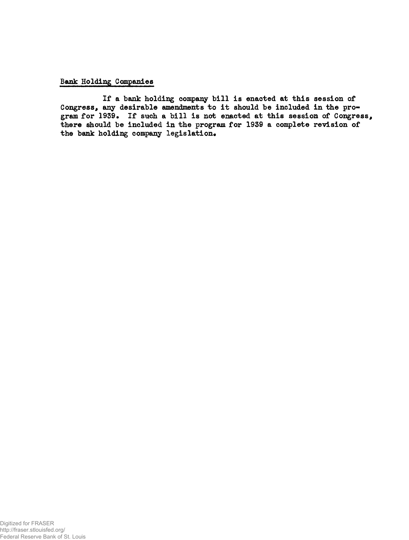#### **Bank Holding Companies**

**If a bank holding company bill is enacted at this session of Congress, any desirable amendments to it should be included in the pro**gram for 1939. If such a bill is not enacted at this session of Congress, **there should be included in the program for 1939 a complete revision of** the bank holding company legislation.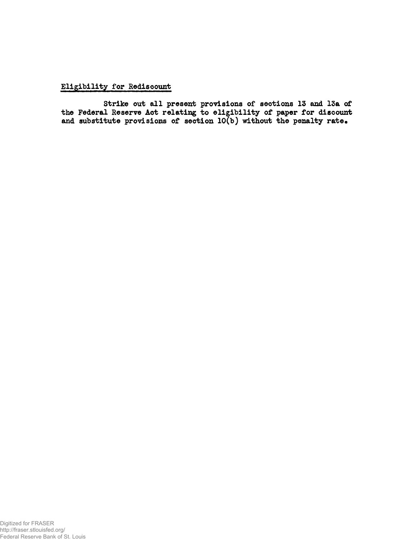# **Eligibility for Rediscount**

**Strike out all present provisions of sections 13 and 15a of the Federal Reserve Act relating to eligibility of paper for discount and substitute provisions of section 10(b) without the penalty rate.**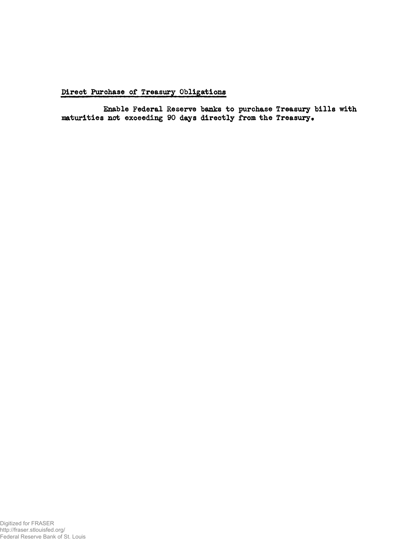**Direct Purchase of Treasury Obligations**

**Enable Federal Reserve banks to purchase Treasury bills with** maturities not exceeding 90 days directly from the Treasury.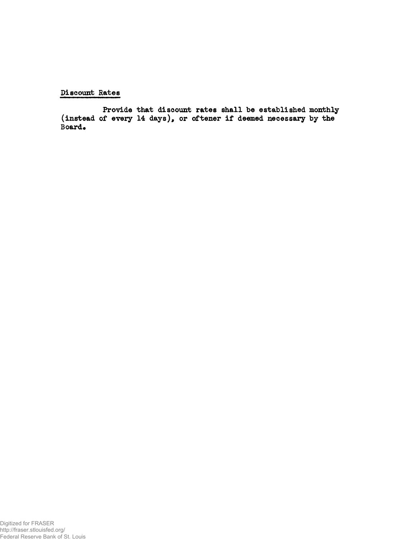# **Discount Rates**

**Provide that discount rates shall be established monthly (instead of every 14 days), or oftener if deemed necessary by the** Board.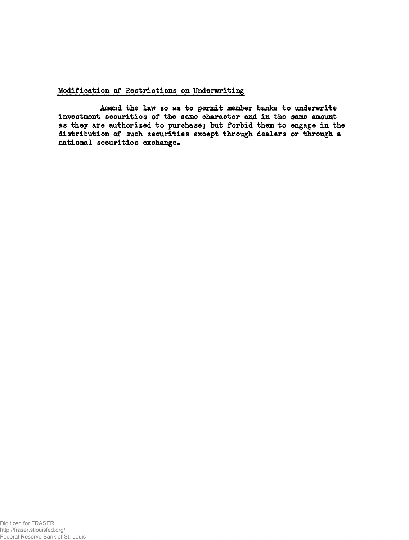#### **Modification of Restrictions on Underwriting**

**Amend the law so as to permit member banks to underwrite investment securities of the same character and in the same amount** as they are authorized to purchase; but forbid them to engage in the **distribution of such securities except through dealers or through a** national securities exchange.